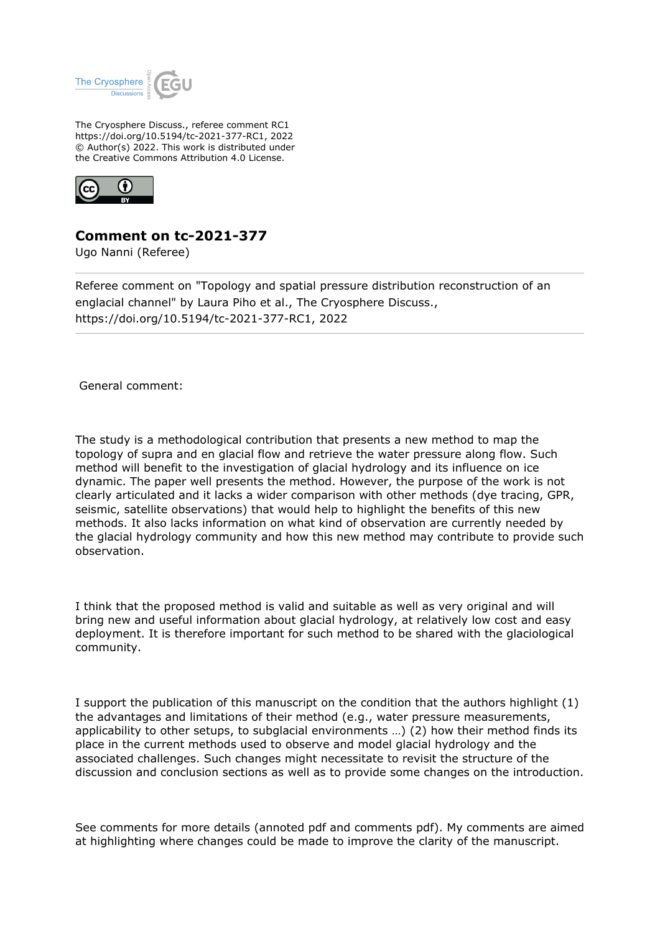

The Cryosphere Discuss., referee comment RC1 https://doi.org/10.5194/tc-2021-377-RC1, 2022 © Author(s) 2022. This work is distributed under the Creative Commons Attribution 4.0 License.



## **Comment on tc-2021-377**

Ugo Nanni (Referee)

Referee comment on "Topology and spatial pressure distribution reconstruction of an englacial channel" by Laura Piho et al., The Cryosphere Discuss., https://doi.org/10.5194/tc-2021-377-RC1, 2022

General comment:

The study is a methodological contribution that presents a new method to map the topology of supra and en glacial flow and retrieve the water pressure along flow. Such method will benefit to the investigation of glacial hydrology and its influence on ice dynamic. The paper well presents the method. However, the purpose of the work is not clearly articulated and it lacks a wider comparison with other methods (dye tracing, GPR, seismic, satellite observations) that would help to highlight the benefits of this new methods. It also lacks information on what kind of observation are currently needed by the glacial hydrology community and how this new method may contribute to provide such observation.

I think that the proposed method is valid and suitable as well as very original and will bring new and useful information about glacial hydrology, at relatively low cost and easy deployment. It is therefore important for such method to be shared with the glaciological community.

I support the publication of this manuscript on the condition that the authors highlight (1) the advantages and limitations of their method (e.g., water pressure measurements, applicability to other setups, to subglacial environments …) (2) how their method finds its place in the current methods used to observe and model glacial hydrology and the associated challenges. Such changes might necessitate to revisit the structure of the discussion and conclusion sections as well as to provide some changes on the introduction.

See comments for more details (annoted pdf and comments pdf). My comments are aimed at highlighting where changes could be made to improve the clarity of the manuscript.